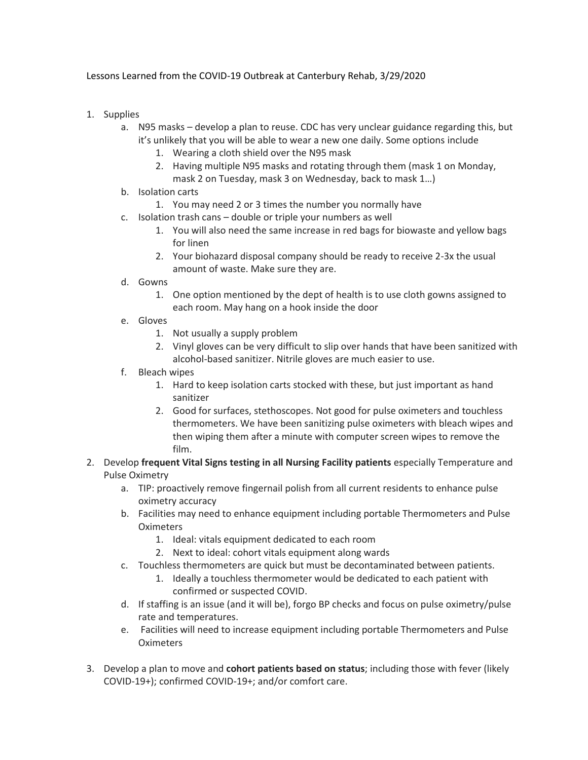## Lessons Learned from the COVID-19 Outbreak at Canterbury Rehab, 3/29/2020

- 1. Supplies
	- a. N95 masks develop a plan to reuse. CDC has very unclear guidance regarding this, but it's unlikely that you will be able to wear a new one daily. Some options include
		- 1. Wearing a cloth shield over the N95 mask
		- 2. Having multiple N95 masks and rotating through them (mask 1 on Monday, mask 2 on Tuesday, mask 3 on Wednesday, back to mask 1…)
	- b. Isolation carts
		- 1. You may need 2 or 3 times the number you normally have
	- c. Isolation trash cans double or triple your numbers as well
		- 1. You will also need the same increase in red bags for biowaste and yellow bags for linen
		- 2. Your biohazard disposal company should be ready to receive 2-3x the usual amount of waste. Make sure they are.
	- d. Gowns
		- 1. One option mentioned by the dept of health is to use cloth gowns assigned to each room. May hang on a hook inside the door
	- e. Gloves
		- 1. Not usually a supply problem
		- 2. Vinyl gloves can be very difficult to slip over hands that have been sanitized with alcohol-based sanitizer. Nitrile gloves are much easier to use.
	- f. Bleach wipes
		- 1. Hard to keep isolation carts stocked with these, but just important as hand sanitizer
		- 2. Good for surfaces, stethoscopes. Not good for pulse oximeters and touchless thermometers. We have been sanitizing pulse oximeters with bleach wipes and then wiping them after a minute with computer screen wipes to remove the film.
- 2. Develop **frequent Vital Signs testing in all Nursing Facility patients** especially Temperature and Pulse Oximetry
	- a. TIP: proactively remove fingernail polish from all current residents to enhance pulse oximetry accuracy
	- b. Facilities may need to enhance equipment including portable Thermometers and Pulse **Oximeters** 
		- 1. Ideal: vitals equipment dedicated to each room
		- 2. Next to ideal: cohort vitals equipment along wards
	- c. Touchless thermometers are quick but must be decontaminated between patients.
		- 1. Ideally a touchless thermometer would be dedicated to each patient with confirmed or suspected COVID.
	- d. If staffing is an issue (and it will be), forgo BP checks and focus on pulse oximetry/pulse rate and temperatures.
	- e. Facilities will need to increase equipment including portable Thermometers and Pulse **Oximeters**
- 3. Develop a plan to move and **cohort patients based on status**; including those with fever (likely COVID-19+); confirmed COVID-19+; and/or comfort care.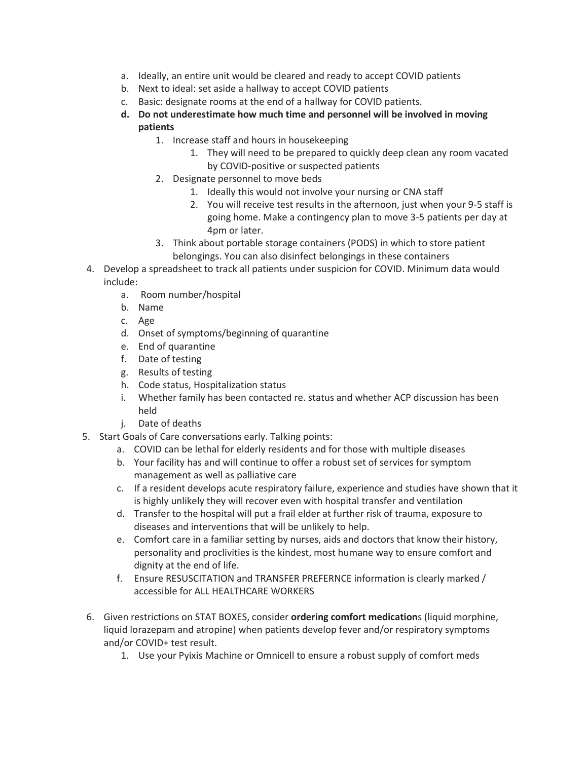- a. Ideally, an entire unit would be cleared and ready to accept COVID patients
- b. Next to ideal: set aside a hallway to accept COVID patients
- c. Basic: designate rooms at the end of a hallway for COVID patients.
- **d. Do not underestimate how much time and personnel will be involved in moving patients**
	- 1. Increase staff and hours in housekeeping
		- 1. They will need to be prepared to quickly deep clean any room vacated by COVID-positive or suspected patients
	- 2. Designate personnel to move beds
		- 1. Ideally this would not involve your nursing or CNA staff
		- 2. You will receive test results in the afternoon, just when your 9-5 staff is going home. Make a contingency plan to move 3-5 patients per day at 4pm or later.
	- 3. Think about portable storage containers (PODS) in which to store patient belongings. You can also disinfect belongings in these containers
- 4. Develop a spreadsheet to track all patients under suspicion for COVID. Minimum data would include:
	- a. Room number/hospital
	- b. Name
	- c. Age
	- d. Onset of symptoms/beginning of quarantine
	- e. End of quarantine
	- f. Date of testing
	- g. Results of testing
	- h. Code status, Hospitalization status
	- i. Whether family has been contacted re. status and whether ACP discussion has been held
	- j. Date of deaths
- 5. Start Goals of Care conversations early. Talking points:
	- a. COVID can be lethal for elderly residents and for those with multiple diseases
	- b. Your facility has and will continue to offer a robust set of services for symptom management as well as palliative care
	- c. If a resident develops acute respiratory failure, experience and studies have shown that it is highly unlikely they will recover even with hospital transfer and ventilation
	- d. Transfer to the hospital will put a frail elder at further risk of trauma, exposure to diseases and interventions that will be unlikely to help.
	- e. Comfort care in a familiar setting by nurses, aids and doctors that know their history, personality and proclivities is the kindest, most humane way to ensure comfort and dignity at the end of life.
	- f. Ensure RESUSCITATION and TRANSFER PREFERNCE information is clearly marked / accessible for ALL HEALTHCARE WORKERS
- 6. Given restrictions on STAT BOXES, consider **ordering comfort medication**s (liquid morphine, liquid lorazepam and atropine) when patients develop fever and/or respiratory symptoms and/or COVID+ test result.
	- 1. Use your Pyixis Machine or Omnicell to ensure a robust supply of comfort meds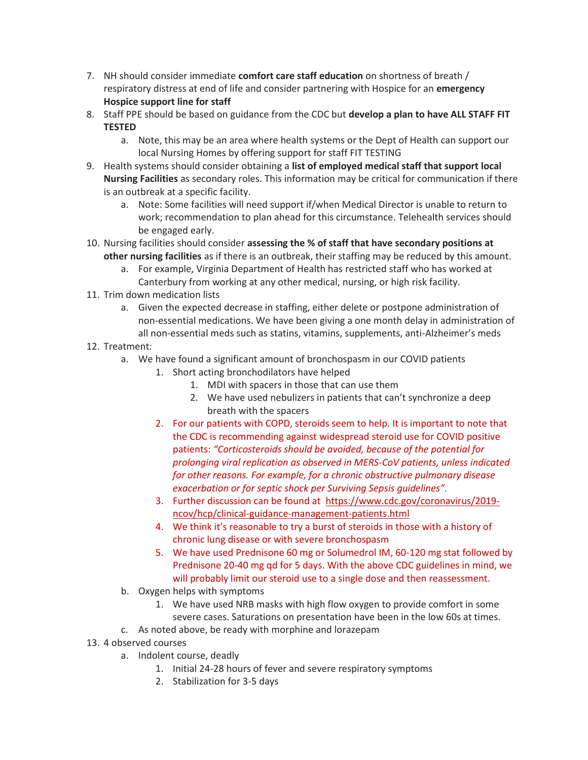- 7. NH should consider immediate **comfort care staff education** on shortness of breath / respiratory distress at end of life and consider partnering with Hospice for an **emergency Hospice support line for staff**
- 8. Staff PPE should be based on guidance from the CDC but **develop a plan to have ALL STAFF FIT TESTED**
	- a. Note, this may be an area where health systems or the Dept of Health can support our local Nursing Homes by offering support for staff FIT TESTING
- 9. Health systems should consider obtaining a **list of employed medical staff that support local Nursing Facilities** as secondary roles. This information may be critical for communication if there is an outbreak at a specific facility.
	- a. Note: Some facilities will need support if/when Medical Director is unable to return to work; recommendation to plan ahead for this circumstance. Telehealth services should be engaged early.
- 10. Nursing facilities should consider **assessing the % of staff that have secondary positions at other nursing facilities** as if there is an outbreak, their staffing may be reduced by this amount.
	- a. For example, Virginia Department of Health has restricted staff who has worked at Canterbury from working at any other medical, nursing, or high risk facility.
- 11. Trim down medication lists
	- a. Given the expected decrease in staffing, either delete or postpone administration of non-essential medications. We have been giving a one month delay in administration of all non-essential meds such as statins, vitamins, supplements, anti-Alzheimer's meds
- 12. Treatment:
	- a. We have found a significant amount of bronchospasm in our COVID patients
		- 1. Short acting bronchodilators have helped
			- 1. MDI with spacers in those that can use them
			- 2. We have used nebulizers in patients that can't synchronize a deep breath with the spacers
		- 2. For our patients with COPD, steroids seem to help. It is important to note that the CDC is recommending against widespread steroid use for COVID positive patients: *"Corticosteroids should be avoided, because of the potential for prolonging viral replication as observed in MERS-CoV patients, unless indicated for other reasons. For example, for a chronic obstructive pulmonary disease exacerbation or for septic shock per Surviving Sepsis guidelines".*
		- 3. Further discussion can be found at [https://www.cdc.gov/coronavirus/2019](https://www.cdc.gov/coronavirus/2019-ncov/hcp/clinical-guidance-management-patients.html) [ncov/hcp/clinical-guidance-management-patients.html](https://www.cdc.gov/coronavirus/2019-ncov/hcp/clinical-guidance-management-patients.html)
		- 4. We think it's reasonable to try a burst of steroids in those with a history of chronic lung disease or with severe bronchospasm
		- 5. We have used Prednisone 60 mg or Solumedrol IM, 60-120 mg stat followed by Prednisone 20-40 mg qd for 5 days. With the above CDC guidelines in mind, we will probably limit our steroid use to a single dose and then reassessment.
	- b. Oxygen helps with symptoms
		- 1. We have used NRB masks with high flow oxygen to provide comfort in some severe cases. Saturations on presentation have been in the low 60s at times.
	- c. As noted above, be ready with morphine and lorazepam
- 13. 4 observed courses
	- a. Indolent course, deadly
		- 1. Initial 24-28 hours of fever and severe respiratory symptoms
		- 2. Stabilization for 3-5 days